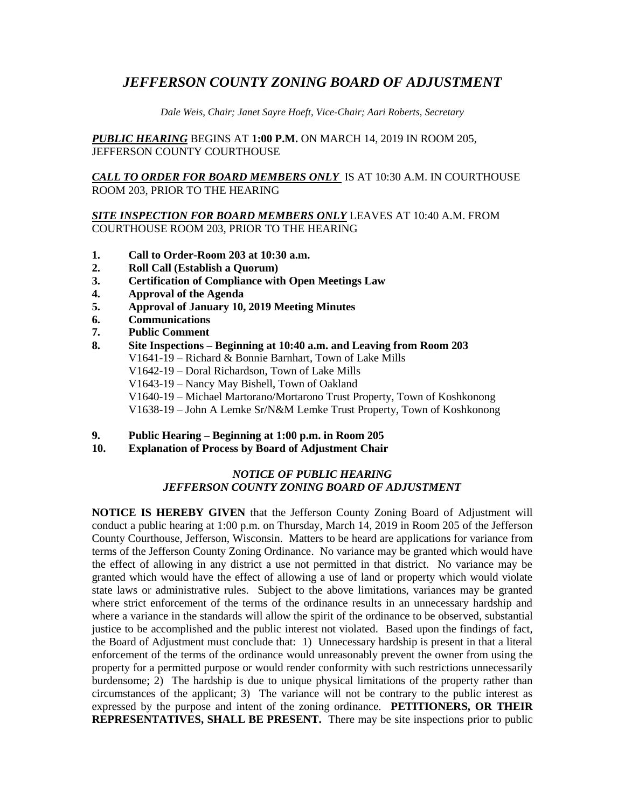## *JEFFERSON COUNTY ZONING BOARD OF ADJUSTMENT*

*Dale Weis, Chair; Janet Sayre Hoeft, Vice-Chair; Aari Roberts, Secretary*

*PUBLIC HEARING* BEGINS AT **1:00 P.M.** ON MARCH 14, 2019 IN ROOM 205, JEFFERSON COUNTY COURTHOUSE

*CALL TO ORDER FOR BOARD MEMBERS ONLY* IS AT 10:30 A.M. IN COURTHOUSE ROOM 203, PRIOR TO THE HEARING

*SITE INSPECTION FOR BOARD MEMBERS ONLY* LEAVES AT 10:40 A.M. FROM COURTHOUSE ROOM 203, PRIOR TO THE HEARING

- **1. Call to Order-Room 203 at 10:30 a.m.**
- **2. Roll Call (Establish a Quorum)**
- **3. Certification of Compliance with Open Meetings Law**
- **4. Approval of the Agenda**
- **5. Approval of January 10, 2019 Meeting Minutes**
- **6. Communications**
- **7. Public Comment**
- **8. Site Inspections – Beginning at 10:40 a.m. and Leaving from Room 203** V1641-19 – Richard & Bonnie Barnhart, Town of Lake Mills V1642-19 – Doral Richardson, Town of Lake Mills V1643-19 – Nancy May Bishell, Town of Oakland V1640-19 – Michael Martorano/Mortarono Trust Property, Town of Koshkonong V1638-19 – John A Lemke Sr/N&M Lemke Trust Property, Town of Koshkonong
- **9. Public Hearing – Beginning at 1:00 p.m. in Room 205**
- **10. Explanation of Process by Board of Adjustment Chair**

## *NOTICE OF PUBLIC HEARING JEFFERSON COUNTY ZONING BOARD OF ADJUSTMENT*

**NOTICE IS HEREBY GIVEN** that the Jefferson County Zoning Board of Adjustment will conduct a public hearing at 1:00 p.m. on Thursday, March 14, 2019 in Room 205 of the Jefferson County Courthouse, Jefferson, Wisconsin. Matters to be heard are applications for variance from terms of the Jefferson County Zoning Ordinance. No variance may be granted which would have the effect of allowing in any district a use not permitted in that district. No variance may be granted which would have the effect of allowing a use of land or property which would violate state laws or administrative rules. Subject to the above limitations, variances may be granted where strict enforcement of the terms of the ordinance results in an unnecessary hardship and where a variance in the standards will allow the spirit of the ordinance to be observed, substantial justice to be accomplished and the public interest not violated. Based upon the findings of fact, the Board of Adjustment must conclude that: 1) Unnecessary hardship is present in that a literal enforcement of the terms of the ordinance would unreasonably prevent the owner from using the property for a permitted purpose or would render conformity with such restrictions unnecessarily burdensome; 2) The hardship is due to unique physical limitations of the property rather than circumstances of the applicant; 3) The variance will not be contrary to the public interest as expressed by the purpose and intent of the zoning ordinance. **PETITIONERS, OR THEIR REPRESENTATIVES, SHALL BE PRESENT.** There may be site inspections prior to public